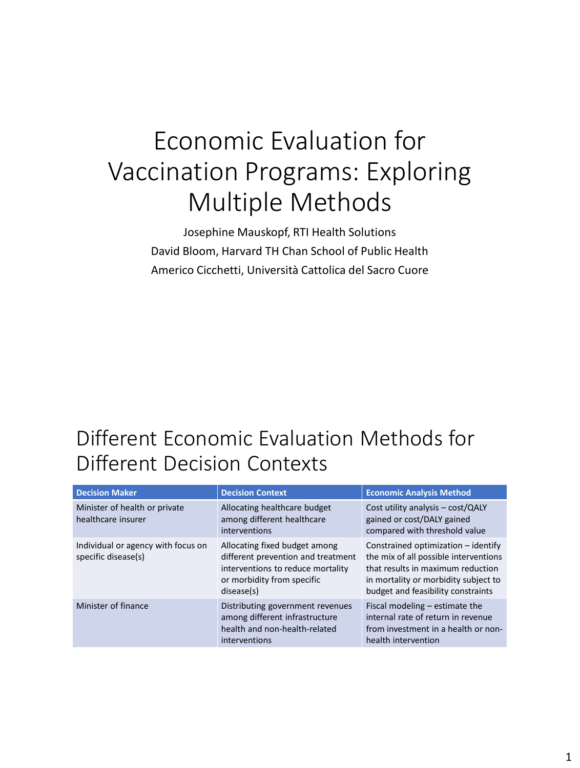# Economic Evaluation for Vaccination Programs: Exploring Multiple Methods

Josephine Mauskopf, RTI Health Solutions David Bloom, Harvard TH Chan School of Public Health Americo Cicchetti, Università Cattolica del Sacro Cuore

#### Different Economic Evaluation Methods for Different Decision Contexts

| <b>Decision Maker</b>                                     | <b>Decision Context</b>                                                                                                                              | <b>Economic Analysis Method</b>                                                                                                                                                                   |
|-----------------------------------------------------------|------------------------------------------------------------------------------------------------------------------------------------------------------|---------------------------------------------------------------------------------------------------------------------------------------------------------------------------------------------------|
| Minister of health or private<br>healthcare insurer       | Allocating healthcare budget<br>among different healthcare<br>interventions                                                                          | Cost utility analysis - cost/QALY<br>gained or cost/DALY gained<br>compared with threshold value                                                                                                  |
| Individual or agency with focus on<br>specific disease(s) | Allocating fixed budget among<br>different prevention and treatment<br>interventions to reduce mortality<br>or morbidity from specific<br>disease(s) | Constrained optimization $-$ identify<br>the mix of all possible interventions<br>that results in maximum reduction<br>in mortality or morbidity subject to<br>budget and feasibility constraints |
| Minister of finance                                       | Distributing government revenues<br>among different infrastructure<br>health and non-health-related<br>interventions                                 | Fiscal modeling $-$ estimate the<br>internal rate of return in revenue<br>from investment in a health or non-<br>health intervention                                                              |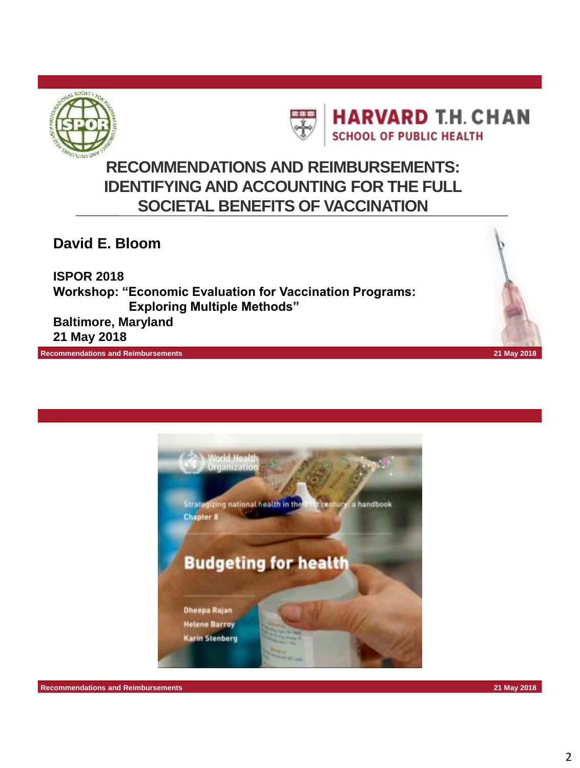



**HARVARD T.H. CHAN SCHOOL OF PUBLIC HEALTH** 

#### **RECOMMENDATIONS AND REIMBURSEMENTS: IDENTIFYING AND ACCOUNTING FOR THE FULL SOCIETAL BENEFITS OF VACCINATION**

**David E. Bloom**

**ISPOR 2018 Workshop: "Economic Evaluation for Vaccination Programs: Exploring Multiple Methods" Baltimore, Maryland**

**21 May 2018**



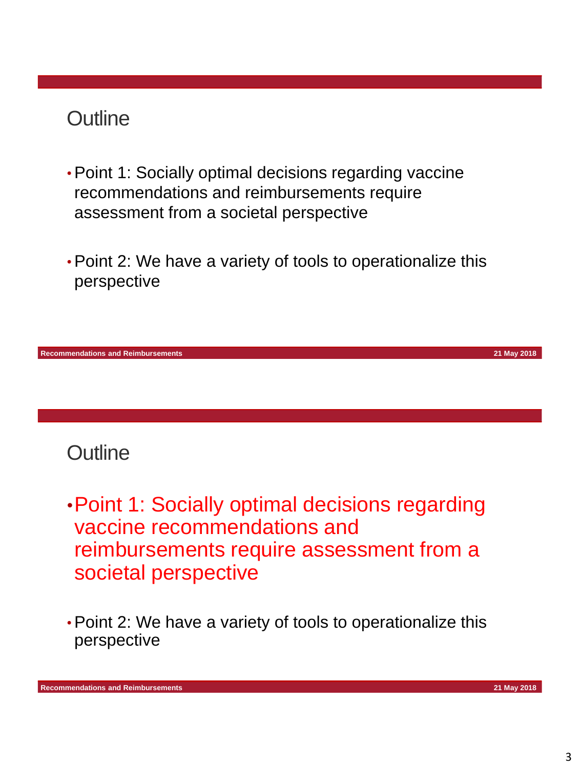#### **Outline**

- •Point 1: Socially optimal decisions regarding vaccine recommendations and reimbursements require assessment from a societal perspective
- •Point 2: We have a variety of tools to operationalize this perspective



#### **Outline**

- •Point 1: Socially optimal decisions regarding vaccine recommendations and reimbursements require assessment from a societal perspective
- •Point 2: We have a variety of tools to operationalize this perspective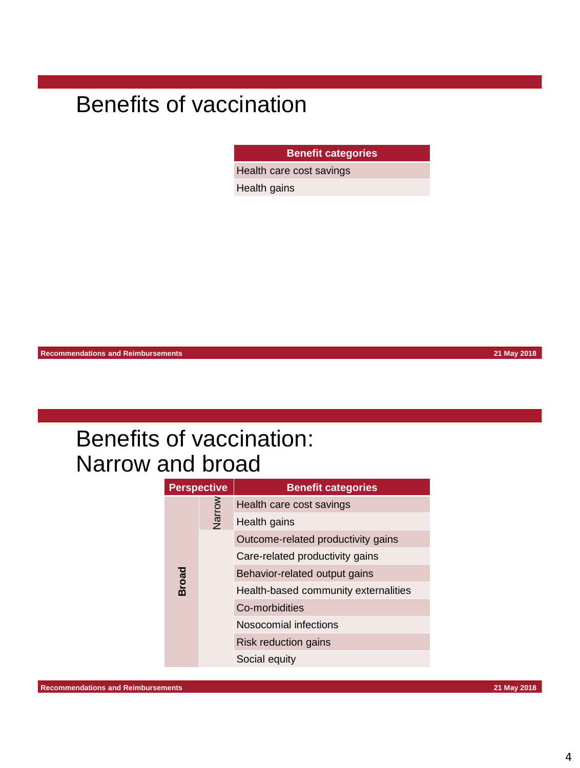# Benefits of vaccination

**Benefit categories**

Health care cost savings

Health gains

**Recommendations and Reimbursements 21 May 2018**

| <b>Perspective</b> |        | <b>Benefit categories</b>            |
|--------------------|--------|--------------------------------------|
|                    | Narrow | Health care cost savings             |
|                    |        | Health gains                         |
|                    |        | Outcome-related productivity gains   |
|                    |        | Care-related productivity gains      |
| <b>Broad</b>       |        | Behavior-related output gains        |
|                    |        | Health-based community externalities |
|                    |        | Co-morbidities                       |
|                    |        | Nosocomial infections                |
|                    |        | Risk reduction gains                 |
|                    |        | Social equity                        |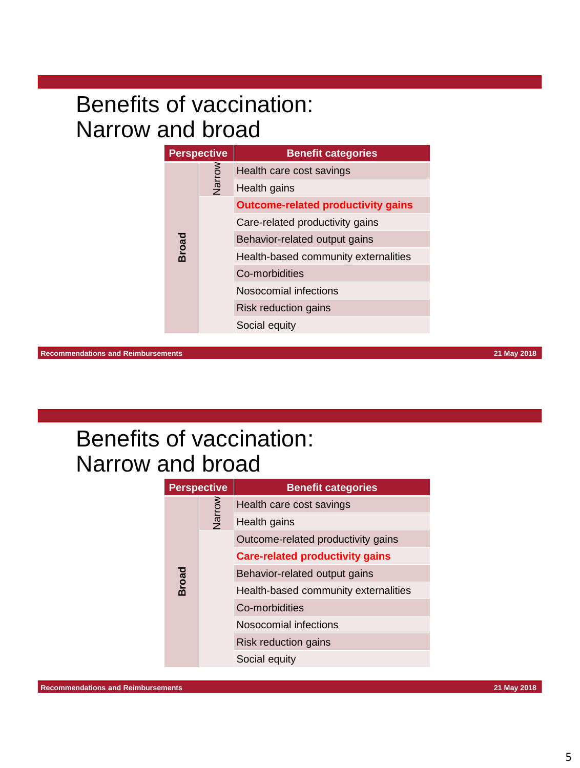| <b>Perspective</b> |        | <b>Benefit categories</b>                 |
|--------------------|--------|-------------------------------------------|
|                    | Narrow | Health care cost savings                  |
|                    |        | Health gains                              |
|                    |        | <b>Outcome-related productivity gains</b> |
|                    |        | Care-related productivity gains           |
| <b>Broad</b>       |        | Behavior-related output gains             |
|                    |        | Health-based community externalities      |
|                    |        | Co-morbidities                            |
|                    |        | Nosocomial infections                     |
|                    |        | Risk reduction gains                      |
|                    |        | Social equity                             |

**Recommendations and Reimbursements 21 May 2018**

| <b>Perspective</b> |        | <b>Benefit categories</b>              |
|--------------------|--------|----------------------------------------|
|                    | Narrow | Health care cost savings               |
|                    |        | Health gains                           |
|                    |        | Outcome-related productivity gains     |
|                    |        | <b>Care-related productivity gains</b> |
| <b>Broad</b>       |        | Behavior-related output gains          |
|                    |        | Health-based community externalities   |
|                    |        | Co-morbidities                         |
|                    |        | Nosocomial infections                  |
|                    |        | Risk reduction gains                   |
|                    |        | Social equity                          |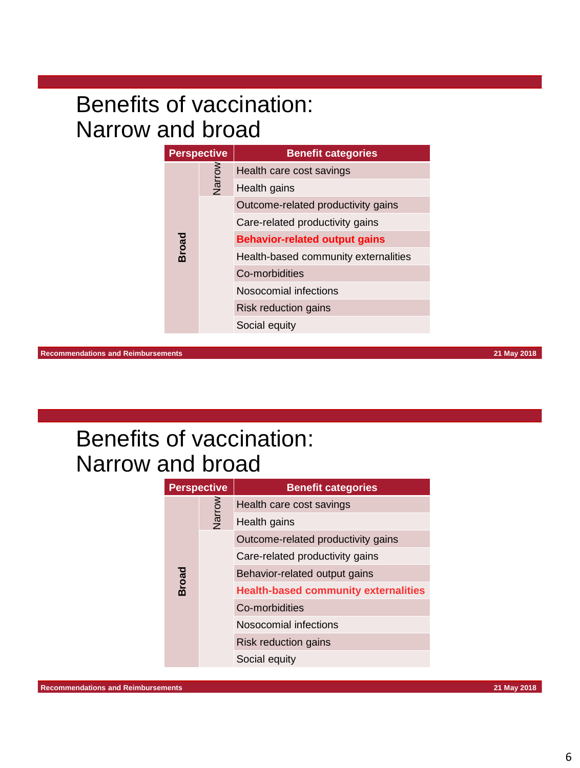| <b>Perspective</b> |        | <b>Benefit categories</b>            |
|--------------------|--------|--------------------------------------|
|                    | Narrow | Health care cost savings             |
|                    |        | Health gains                         |
|                    |        | Outcome-related productivity gains   |
|                    |        | Care-related productivity gains      |
| Broad              |        | <b>Behavior-related output gains</b> |
|                    |        | Health-based community externalities |
|                    |        | Co-morbidities                       |
|                    |        | Nosocomial infections                |
|                    |        | Risk reduction gains                 |
|                    |        | Social equity                        |

**Recommendations and Reimbursements 21 May 2018**

| <b>Perspective</b> |        | <b>Benefit categories</b>                   |
|--------------------|--------|---------------------------------------------|
|                    | Narrow | Health care cost savings                    |
|                    |        | Health gains                                |
|                    |        | Outcome-related productivity gains          |
|                    |        | Care-related productivity gains             |
| <b>Broad</b>       |        | Behavior-related output gains               |
|                    |        | <b>Health-based community externalities</b> |
|                    |        | Co-morbidities                              |
|                    |        | Nosocomial infections                       |
|                    |        | Risk reduction gains                        |
|                    |        | Social equity                               |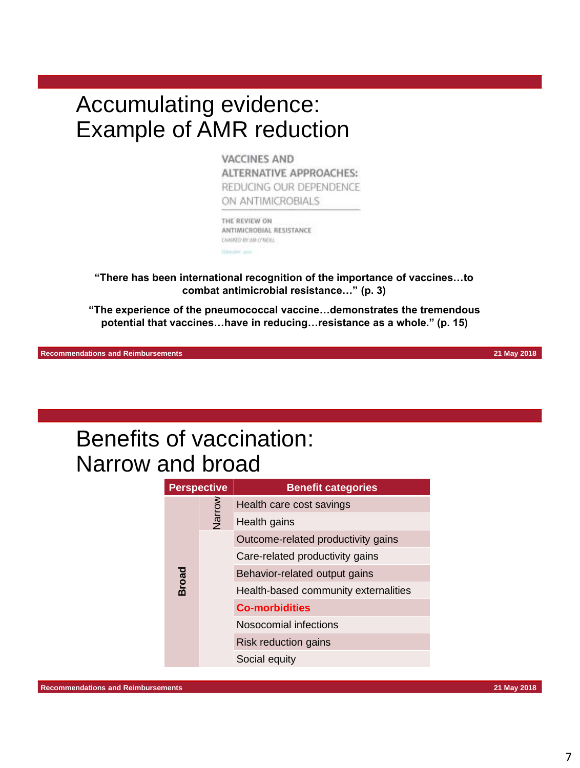#### Accumulating evidence: Example of AMR reduction

**VACCINES AND** ALTERNATIVE APPROACHES: REDUCING OUR DEPENDENCE ON ANTIMICROBIALS

THE REVIEW ON ANTIMICROBIAL RESISTANCE CHAIRED BY AM O'WERL

**"There has been international recognition of the importance of vaccines…to combat antimicrobial resistance…" (p. 3)**

**"The experience of the pneumococcal vaccine…demonstrates the tremendous potential that vaccines…have in reducing…resistance as a whole." (p. 15)**

**Recommendations and Reimbursements 21 May 2018**

| <b>Perspective</b> |        | <b>Benefit categories</b>            |
|--------------------|--------|--------------------------------------|
|                    | Narrow | Health care cost savings             |
|                    |        | Health gains                         |
|                    |        | Outcome-related productivity gains   |
|                    |        | Care-related productivity gains      |
| <b>Broad</b>       |        | Behavior-related output gains        |
|                    |        | Health-based community externalities |
|                    |        | <b>Co-morbidities</b>                |
|                    |        | Nosocomial infections                |
|                    |        | Risk reduction gains                 |
|                    |        | Social equity                        |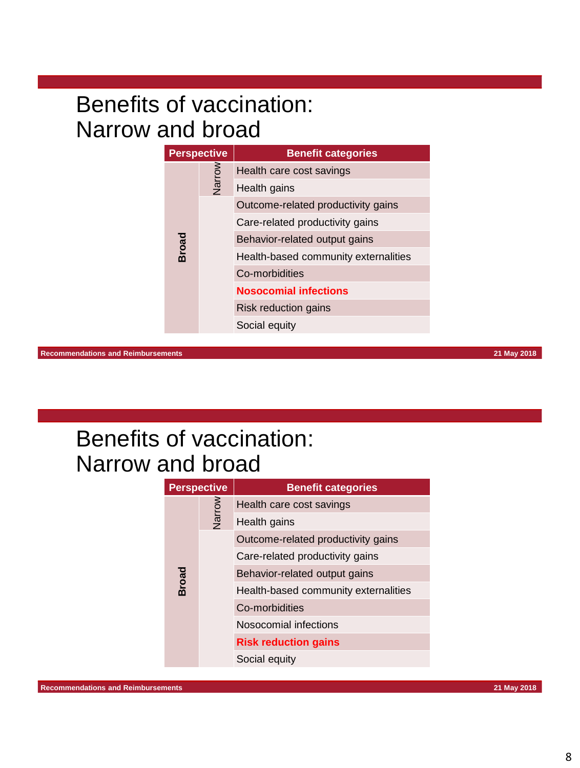| <b>Perspective</b> |        | <b>Benefit categories</b>            |
|--------------------|--------|--------------------------------------|
|                    | Narrow | Health care cost savings             |
|                    |        | Health gains                         |
|                    |        | Outcome-related productivity gains   |
|                    |        | Care-related productivity gains      |
| <b>Broad</b>       |        | Behavior-related output gains        |
|                    |        | Health-based community externalities |
|                    |        | Co-morbidities                       |
|                    |        | <b>Nosocomial infections</b>         |
|                    |        | Risk reduction gains                 |
|                    |        | Social equity                        |

**Recommendations and Reimbursements 21 May 2018**

| <b>Perspective</b> |        | <b>Benefit categories</b>            |
|--------------------|--------|--------------------------------------|
|                    | Narrow | Health care cost savings             |
|                    |        | Health gains                         |
|                    |        | Outcome-related productivity gains   |
|                    |        | Care-related productivity gains      |
| <b>Broad</b>       |        | Behavior-related output gains        |
|                    |        | Health-based community externalities |
|                    |        | Co-morbidities                       |
|                    |        | Nosocomial infections                |
|                    |        | <b>Risk reduction gains</b>          |
|                    |        | Social equity                        |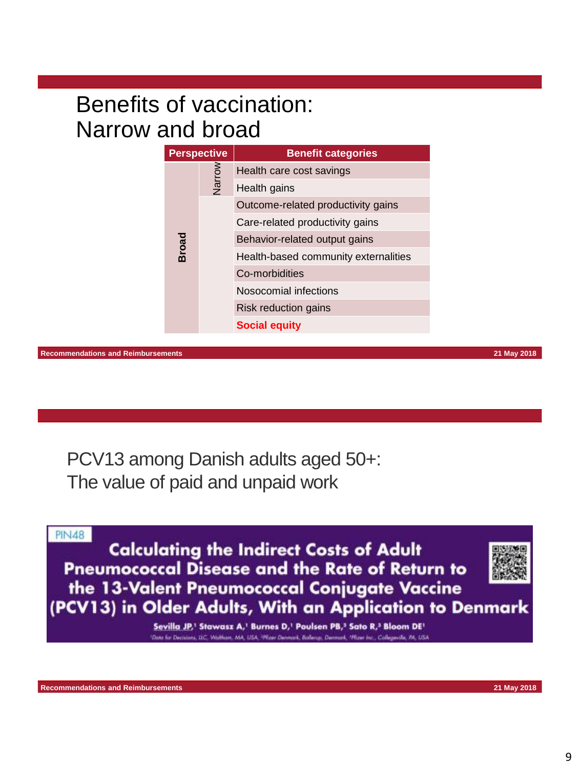| <b>Perspective</b> |        | <b>Benefit categories</b>            |
|--------------------|--------|--------------------------------------|
|                    | Narrow | Health care cost savings             |
|                    |        | Health gains                         |
|                    |        | Outcome-related productivity gains   |
|                    |        | Care-related productivity gains      |
| <b>Broad</b>       |        | Behavior-related output gains        |
|                    |        | Health-based community externalities |
|                    |        | Co-morbidities                       |
|                    |        | Nosocomial infections                |
|                    |        | Risk reduction gains                 |
|                    |        | <b>Social equity</b>                 |

**Recommendations and Reimbursements 21 May 2018**

PCV13 among Danish adults aged 50+: The value of paid and unpaid work

**PIN48** 

**Calculating the Indirect Costs of Adult Pneumococcal Disease and the Rate of Return to** the 13-Valent Pneumococcal Conjugate Vaccine (PCV13) in Older Adults, With an Application to Denmark

> Sevilla JP,<sup>1</sup> Stawasz A,<sup>1</sup> Burnes D,<sup>1</sup> Poulsen PB,<sup>2</sup> Sato R,<sup>3</sup> Bloom DE<sup>1</sup> Waltham, MA, USA, "Phzer Denmark, Ballengo, Denmark, "Phzer In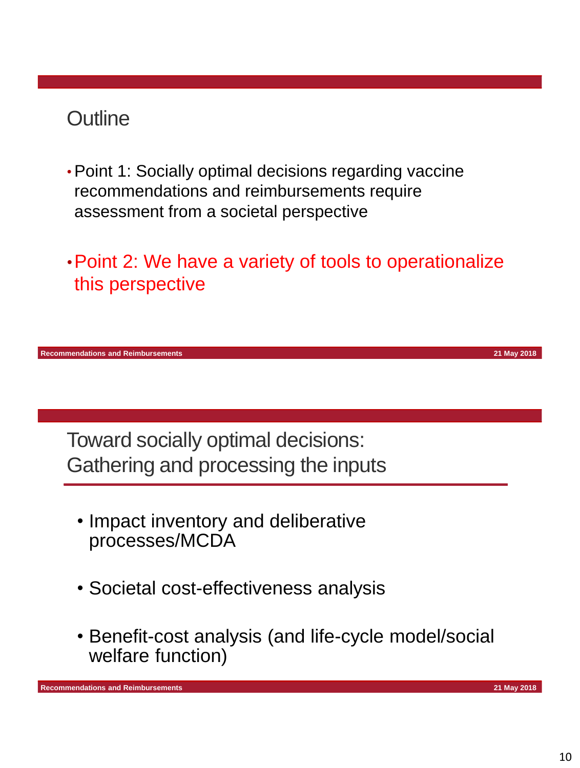#### **Outline**

- •Point 1: Socially optimal decisions regarding vaccine recommendations and reimbursements require assessment from a societal perspective
- •Point 2: We have a variety of tools to operationalize this perspective

**Recommendations and Reimbursements 21 May 2018**

Toward socially optimal decisions: Gathering and processing the inputs

- Impact inventory and deliberative processes/MCDA
- Societal cost-effectiveness analysis
- Benefit-cost analysis (and life-cycle model/social welfare function)